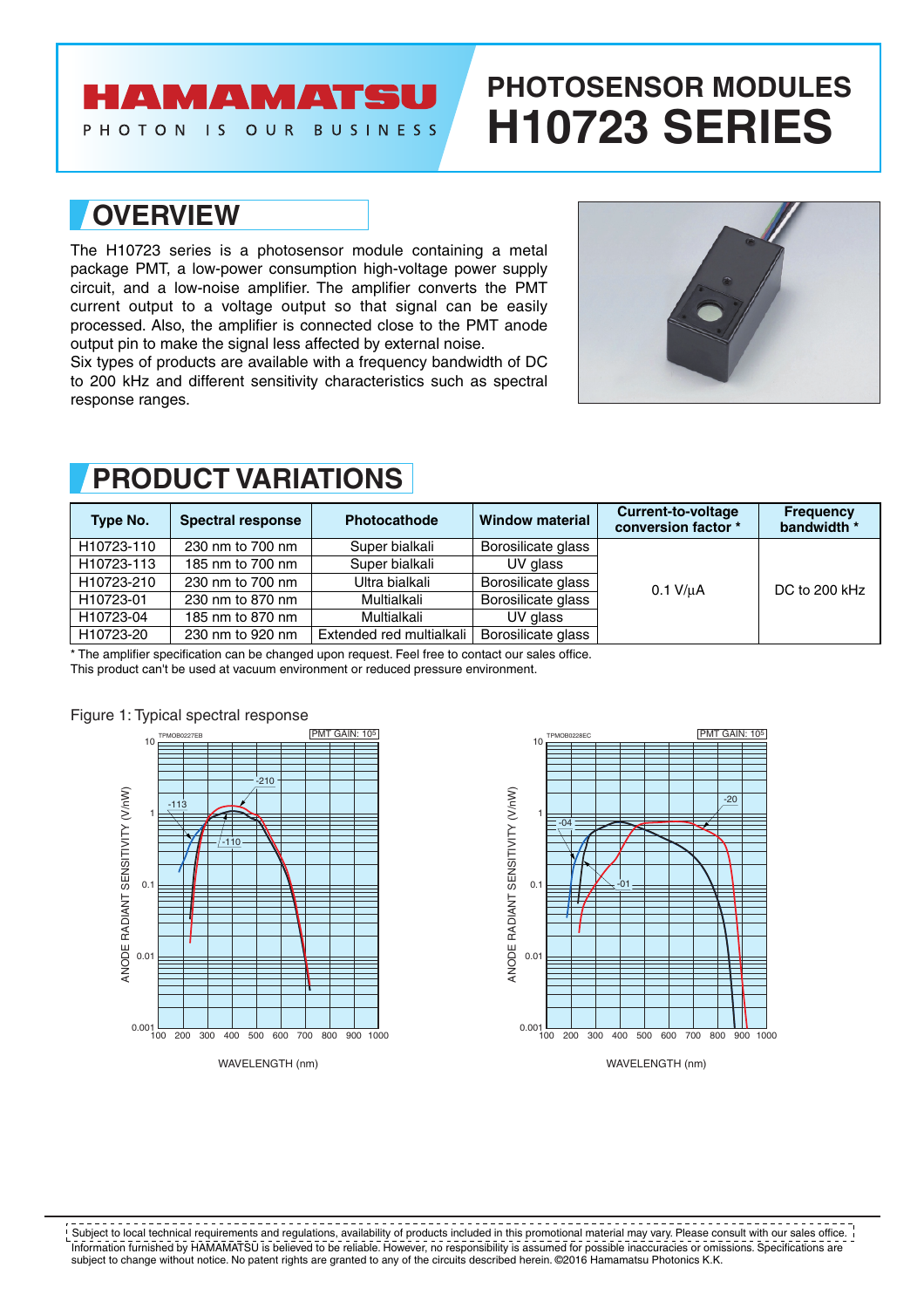## **AMAMATSU**

PHOTON IS OUR BUSINESS

# **PHOTOSENSOR MODULES H10723 SERIES**

### **OVERVIEW**

The H10723 series is a photosensor module containing a metal package PMT, a low-power consumption high-voltage power supply circuit, and a low-noise amplifier. The amplifier converts the PMT current output to a voltage output so that signal can be easily processed. Also, the amplifier is connected close to the PMT anode output pin to make the signal less affected by external noise.

Six types of products are available with a frequency bandwidth of DC to 200 kHz and different sensitivity characteristics such as spectral response ranges.



| Type No.   | <b>Spectral response</b> | Photocathode             | <b>Window material</b> | Current-to-voltage<br>conversion factor * | <b>Frequency</b><br>bandwidth * |
|------------|--------------------------|--------------------------|------------------------|-------------------------------------------|---------------------------------|
| H10723-110 | 230 nm to 700 nm         | Super bialkali           | Borosilicate glass     | $0.1$ V/ $\mu$ A                          | DC to 200 kHz                   |
| H10723-113 | 185 nm to 700 nm         | Super bialkali           | UV glass               |                                           |                                 |
| H10723-210 | 230 nm to 700 nm         | Ultra bialkali           | Borosilicate glass     |                                           |                                 |
| H10723-01  | 230 nm to 870 nm         | Multialkali              | Borosilicate glass     |                                           |                                 |
| H10723-04  | 185 nm to 870 nm         | Multialkali              | UV glass               |                                           |                                 |
| H10723-20  | 230 nm to 920 nm         | Extended red multialkali | Borosilicate glass     |                                           |                                 |

### **PRODUCT VARIATIONS**

\* The amplifier specification can be changed upon request. Feel free to contact our sales office.

This product can't be used at vacuum environment or reduced pressure environment.







Information furnished by HAMAMATSU is believed to be reliable. However, no responsibility is assumed for possible inaccuracies or omissions. Specifications are subject to change without notice. No patent rights are granted to any of the circuits described herein. ©2016 Hamamatsu Photonics K.K. Subject to local technical requirements and regulations, availability of products included in this promotional material may vary. Please consult with our sales office.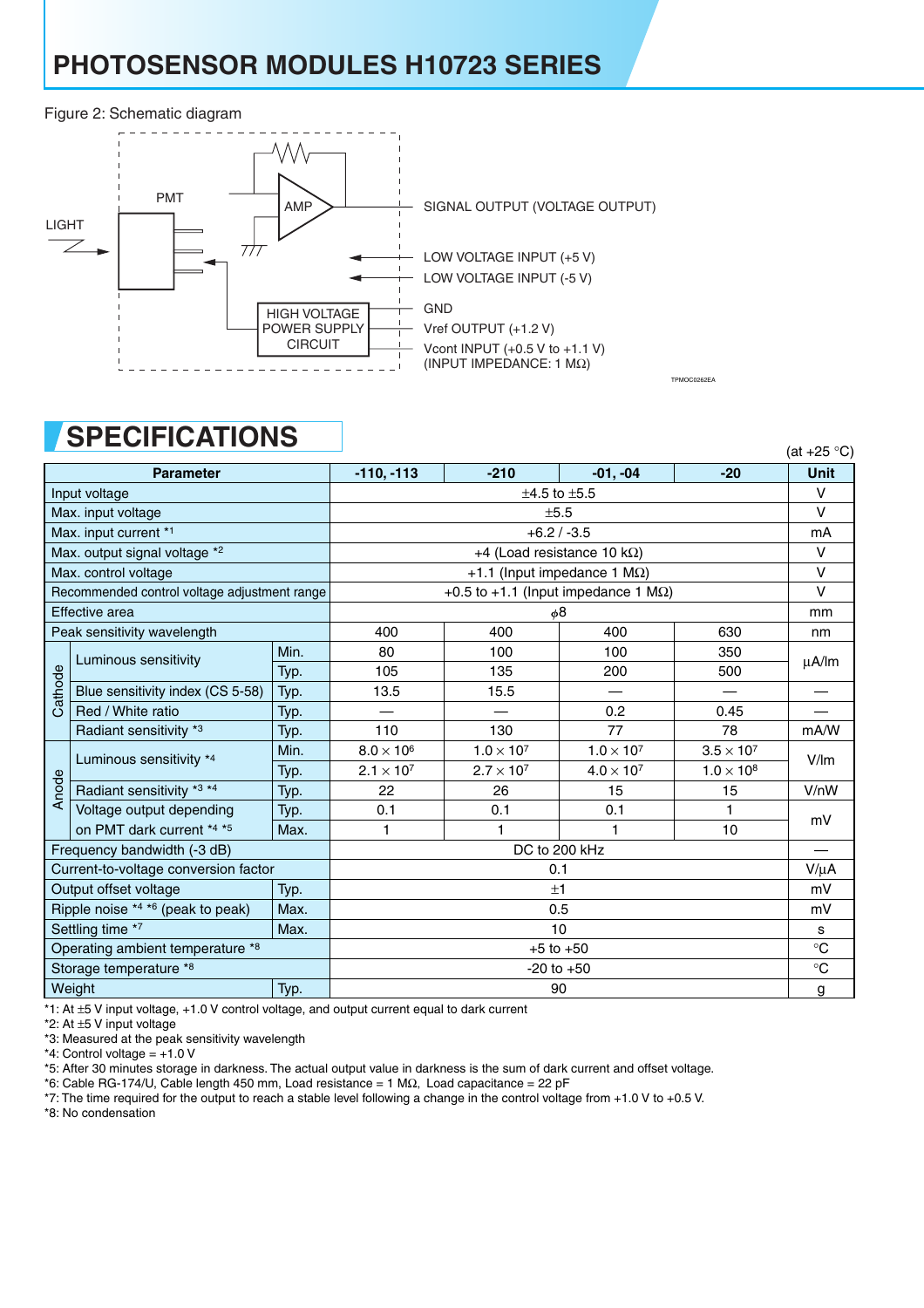## **PHOTOSENSOR MODULES H10723 SERIES**

#### Figure 2: Schematic diagram



### **SPECIFICATIONS**

|                                             | UL LUILIUALIUITU                             |               |                     |                                             |                          |                     | (at $+25$ °C) |
|---------------------------------------------|----------------------------------------------|---------------|---------------------|---------------------------------------------|--------------------------|---------------------|---------------|
|                                             | <b>Parameter</b>                             |               | $-110, -113$        | $-210$                                      | $-01, -04$               | $-20$               | <b>Unit</b>   |
|                                             | Input voltage                                |               |                     | $±4.5$ to $±5.5$                            |                          |                     | $\vee$        |
|                                             | Max. input voltage                           |               |                     | $\vee$                                      |                          |                     |               |
|                                             | Max. input current *1                        |               |                     |                                             | $+6.2 / -3.5$            |                     | mA            |
|                                             | Max. output signal voltage *2                |               |                     | +4 (Load resistance 10 k $\Omega$ )         |                          |                     | V             |
|                                             | Max. control voltage                         |               |                     | +1.1 (Input impedance 1 $M\Omega$ )         |                          |                     | $\vee$        |
|                                             | Recommended control voltage adjustment range |               |                     | +0.5 to +1.1 (Input impedance 1 $M\Omega$ ) |                          |                     | $\vee$        |
|                                             | <b>Effective</b> area                        |               |                     | φ8                                          |                          |                     | mm            |
|                                             | Peak sensitivity wavelength                  |               | 400                 | 400                                         | 400                      | 630                 | nm            |
|                                             | Luminous sensitivity                         | Min.          | 80                  | 100                                         | 100                      | 350                 |               |
|                                             |                                              | Typ.          | 105                 | 135                                         | 200                      | 500                 | $\mu$ A/lm    |
| Cathode                                     | Blue sensitivity index (CS 5-58)             | Typ.          | 13.5                | 15.5                                        | $\overline{\phantom{0}}$ |                     |               |
|                                             | Red / White ratio                            | Typ.          |                     |                                             | 0.2                      | 0.45                |               |
|                                             | Radiant sensitivity *3                       | Typ.          | 110                 | 130                                         | 77                       | 78                  | mA/W          |
|                                             | Luminous sensitivity *4                      | Min.          | $8.0 \times 10^6$   | $1.0 \times 10^{7}$                         | $1.0 \times 10^{7}$      | $3.5 \times 10^{7}$ | V/Im          |
|                                             |                                              | Typ.          | $2.1 \times 10^{7}$ | $2.7 \times 10^{7}$                         | $4.0 \times 10^{7}$      | $1.0 \times 10^{8}$ |               |
| Anode                                       | Radiant sensitivity *3 *4                    | Typ.          | 22                  | 26                                          | 15                       | 15                  | V/nW          |
|                                             | Voltage output depending                     | Typ.          | 0.1                 | 0.1                                         | 0.1                      | 1                   | mV            |
|                                             | on PMT dark current *4 *5                    | Max.          | 1                   | 1                                           | 1                        | 10                  |               |
|                                             | Frequency bandwidth (-3 dB)                  |               |                     | DC to 200 kHz                               |                          |                     |               |
|                                             | Current-to-voltage conversion factor         |               |                     |                                             | 0.1                      |                     |               |
| Output offset voltage<br>Typ.               |                                              | ±1            |                     |                                             |                          |                     |               |
| Ripple noise $*4 *6$ (peak to peak)<br>Max. |                                              | 0.5           |                     |                                             |                          |                     |               |
| Settling time *7<br>Max.                    |                                              | 10            |                     |                                             |                          |                     |               |
| Operating ambient temperature *8            |                                              | $+5$ to $+50$ |                     |                                             |                          |                     |               |
| Storage temperature *8                      |                                              |               | $-20$ to $+50$      |                                             |                          |                     |               |
| Weight<br>Typ.                              |                                              |               | 90                  |                                             |                          |                     |               |

TPMOC0262EA

\*1: At ±5 V input voltage, +1.0 V control voltage, and output current equal to dark current

\*2: At ±5 V input voltage

\*3: Measured at the peak sensitivity wavelength

 $*4$ : Control voltage =  $+1.0$  V

\*5: After 30 minutes storage in darkness. The actual output value in darkness is the sum of dark current and offset voltage.

\*6: Cable RG-174/U, Cable length 450 mm, Load resistance = 1 MΩ, Load capacitance = 22 pF

\*7: The time required for the output to reach a stable level following a change in the control voltage from +1.0 V to +0.5 V.

\*8: No condensation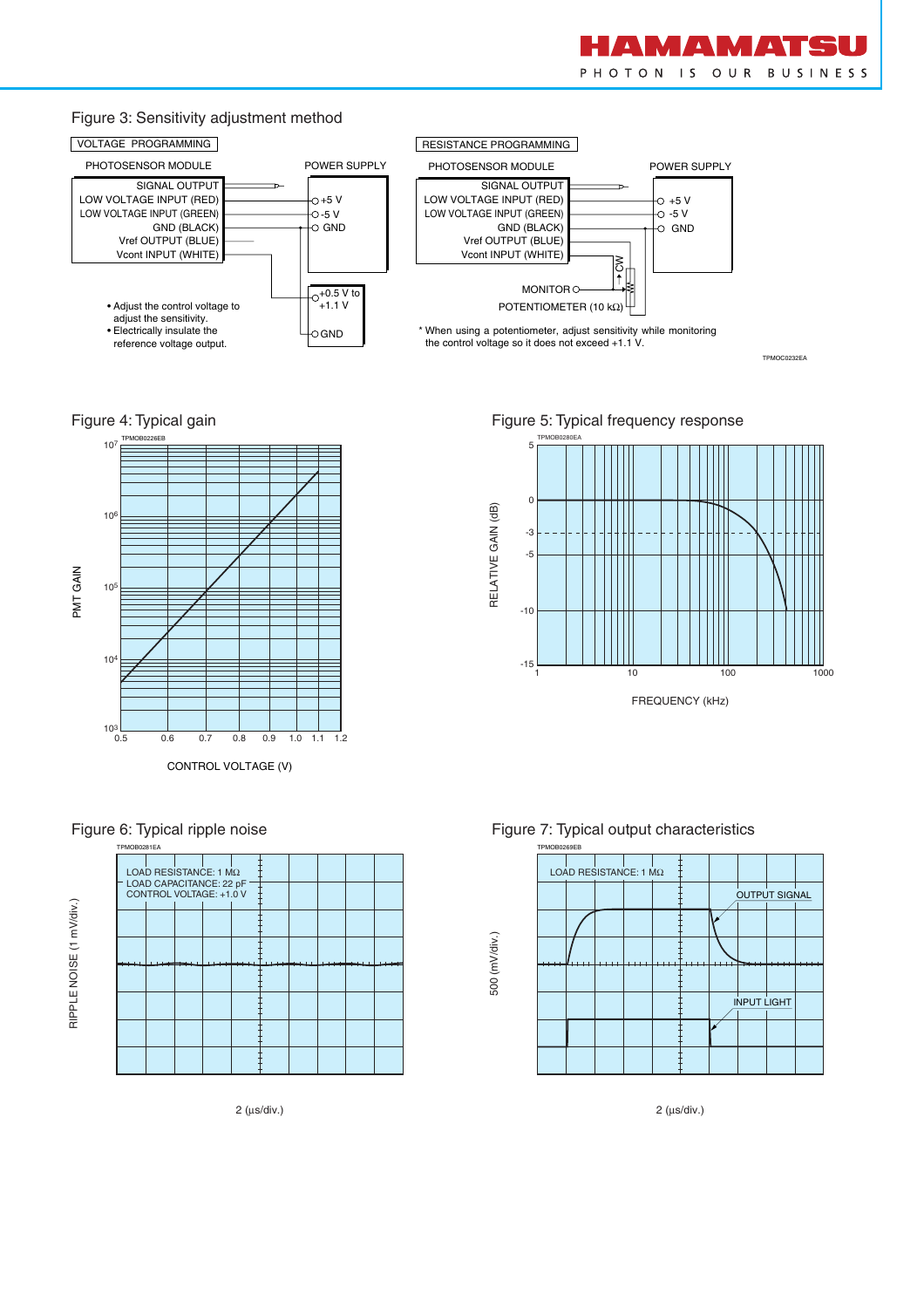

#### Figure 3: Sensitivity adjustment method



TPMOC0232EA

#### Figure 4: Typical gain









Figure 5: Typical frequency response







2 (µs/div.)